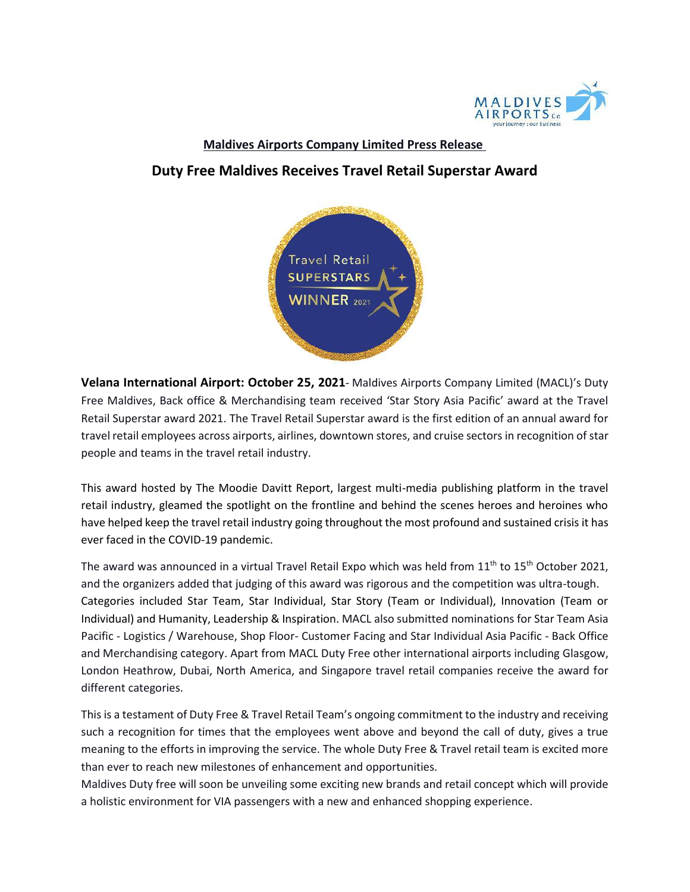

## **Maldives Airports Company Limited Press Release**

## **Duty Free Maldives Receives Travel Retail Superstar Award**



**Velana International Airport: October 25, 2021**- Maldives Airports Company Limited (MACL)'s Duty Free Maldives, Back office & Merchandising team received 'Star Story Asia Pacific' award at the Travel Retail Superstar award 2021. The Travel Retail Superstar award is the first edition of an annual award for travel retail employees across airports, airlines, downtown stores, and cruise sectors in recognition of star people and teams in the travel retail industry.

This award hosted by The Moodie Davitt Report, largest multi-media publishing platform in the travel retail industry, gleamed the spotlight on the frontline and behind the scenes heroes and heroines who have helped keep the travel retail industry going throughout the most profound and sustained crisis it has ever faced in the COVID-19 pandemic.

The award was announced in a virtual Travel Retail Expo which was held from  $11<sup>th</sup>$  to  $15<sup>th</sup>$  October 2021, and the organizers added that judging of this award was rigorous and the competition was ultra-tough. Categories included Star Team, Star Individual, Star Story (Team or Individual), Innovation (Team or Individual) and Humanity, Leadership & Inspiration. MACL also submitted nominations for Star Team Asia Pacific - Logistics / Warehouse, Shop Floor- Customer Facing and Star Individual Asia Pacific - Back Office and Merchandising category. Apart from MACL Duty Free other international airports including Glasgow, London Heathrow, Dubai, North America, and Singapore travel retail companies receive the award for different categories.

This is a testament of Duty Free & Travel Retail Team's ongoing commitment to the industry and receiving such a recognition for times that the employees went above and beyond the call of duty, gives a true meaning to the efforts in improving the service. The whole Duty Free & Travel retail team is excited more than ever to reach new milestones of enhancement and opportunities.

Maldives Duty free will soon be unveiling some exciting new brands and retail concept which will provide a holistic environment for VIA passengers with a new and enhanced shopping experience.